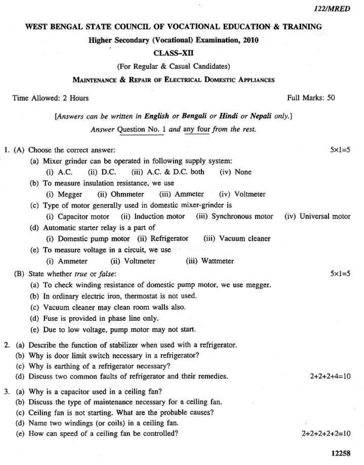## WEST BENGAL STATE COUNCIL OF VOCATIONAL EDUCATION & TRAINING

 $\bar{\epsilon}$ 

Higher Secondary (Vocational) Examination, 2010

#### **CLASS-XII**

(For Regular & Casual Candidates)

## MAINTENANCE & REPAIR OF ELECTRICAL DOMESTIC APPLIANCES

#### Time Allowed: 2 Hours

# Full Marks: 50

[Answers can be written in English or Bengali or Hindi or Nepali only.]

Answer Question No. 1 and any four from the rest.

|    | 1. (A) Choose the correct answer:                                      | $5x = 5$             |
|----|------------------------------------------------------------------------|----------------------|
|    | (a) Mixer grinder can be operated in following supply system:          |                      |
|    | (ii) $D.C.$ (iii) $A.C. & D.C.$ both<br>$(i)$ A.C.<br>(iv) None        |                      |
|    | (b) To measure insulation resistance, we use                           |                      |
|    | (ii) Ohmmeter<br>(iii) Ammeter<br>(iv) Voltmeter<br>(i) Megger         |                      |
|    | (c) Type of motor generally used in domestic mixer-grinder is          |                      |
|    | (i) Capacitor motor (ii) Induction motor (iii) Synchronous motor       | (iv) Universal motor |
|    | (d) Automatic starter relay is a part of                               |                      |
|    | (i) Domestic pump motor (ii) Refrigerator<br>(iii) Vacuum cleaner      |                      |
|    | (e) To measure voltage in a circuit, we use                            |                      |
|    | (iii) Wattmeter<br>(i) Ammeter<br>(ii) Voltmeter                       |                      |
|    | (B) State whether true or false:                                       | $5 \times 1 = 5$     |
|    | (a) To check winding resistance of domestic pump motor, we use megger. |                      |
|    | (b) In ordinary electric iron, thermostat is not used.                 |                      |
|    |                                                                        |                      |
|    | (c) Vacuum cleaner may clean room walls also.                          |                      |
|    | (d) Fuse is provided in phase line only.                               |                      |
|    | (e) Due to low voltage, pump motor may not start.                      |                      |
| 2. | (a) Describe the function of stabilizer when used with a refrigerator. |                      |
|    | (b) Why is door limit switch necessary in a refrigerator?              |                      |
|    | (c) Why is earthing of a refrigerator necessary?                       |                      |
|    | (d) Discuss two common faults of refrigerator and their remedies.      | $2+2+2+4=10$         |
| 3. | (a) Why is a capacitor used in a ceiling fan?                          |                      |
|    | (b) Discuss the type of maintenance necessary for a ceiling fan.       |                      |
|    | (c) Ceiling fan is not starting. What are the probable causes?         |                      |
|    | (d) Name two windings (or coils) in a ceiling fan.                     |                      |
|    | (e) How can speed of a ceiling fan be controlled?                      | $2+2+2+2+2=10$       |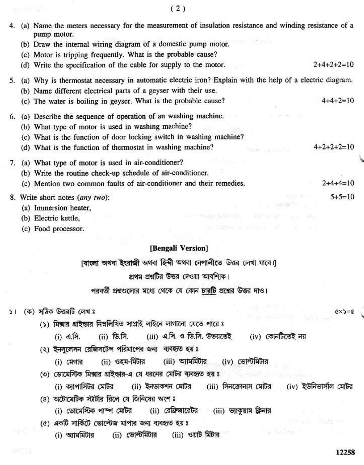$(2)$ 

|    | (2)                                                                                                                   |  |
|----|-----------------------------------------------------------------------------------------------------------------------|--|
| 4. | (a) Name the meters necessary for the measurement of insulation resistance and winding resistance of a<br>pump motor. |  |
|    | (b) Draw the internal wiring diagram of a domestic pump motor.                                                        |  |
|    | (c) Motor is tripping frequently. What is the probable cause?<br>$2+4+2+2=10$                                         |  |
|    | (d) Write the specification of the cable for supply to the motor.                                                     |  |
| 5. | (a) Why is thermostat necessary in automatic electric iron? Explain with the help of a electric diagram.              |  |
|    | (b) Name different electrical parts of a geyser with their use.                                                       |  |
|    | (c) The water is boiling in geyser. What is the probable cause?<br>$4+4+2=10$                                         |  |
| 6. | (a) Describe the sequence of operation of an washing machine.                                                         |  |
|    | (b) What type of motor is used in washing machine?                                                                    |  |
|    | (c) What is the function of door locking switch in washing machine?                                                   |  |
|    | $4+2+2+2=10$<br>(d) What is the function of thermostat in washing machine?<br>e sa dhemo                              |  |
| 7. | (a) What type of motor is used in air-conditioner?                                                                    |  |
|    | (b) Write the routine check-up schedule of air-conditioner.                                                           |  |
|    | (c) Mention two common faults of air-conditioner and their remedies.<br>$2+4+4=10$                                    |  |
|    | $5+5=10$<br>8. Write short notes (any two):                                                                           |  |
|    | (a) Immersion heater,                                                                                                 |  |
|    | (b) Electric kettle,                                                                                                  |  |
|    | SERVICE STATES OF BRAZILINE REPORT<br>(c) Food processor.                                                             |  |
|    | [Bengali Version]                                                                                                     |  |
|    |                                                                                                                       |  |
|    | [বাংলা অথবা ইংরাজী অথবা হিন্দী অথবা নেপালীতে উত্তর লেখা যাবে।]                                                        |  |
|    | প্রথম প্রশ্নটির উত্তর দেওয়া আবশ্যিক।                                                                                 |  |
|    | পরবর্তী প্রশ্নগুলোর মধ্যে থেকে যে কোন <u>চারটি</u> প্রশ্নের উত্তর দাও।                                                |  |
| ъı | (ক) সঠিক উত্তরটি লেখ ঃ<br>$Q \times S = Q$                                                                            |  |
|    | (১) মিক্সার গ্রাইন্ডার নিম্নলিখিত সাপ্লাই লাইনে লাগানো যেতে পারে ঃ                                                    |  |
|    | (ii) ডি.সি. (iii) এ.সি. ও ডি.সি. উভয়তেই (iv) কোনটিতেই নয়<br>$(i)$ এ.সি.                                             |  |
|    |                                                                                                                       |  |
|    | (২) ইনসুলেসন রেজিসটেন্স পরিমাপের জন্য ব্যবহৃত হয়ঃ                                                                    |  |
|    | (ii) ওহম-মিটার (iii) আমমিটার (iv) ভোল্টমিটার<br>$(i)$ মেগার                                                           |  |
|    | ৩) ডোমেস্টিক মিক্সার গ্রাইন্ডার-এ যে ধরনের মোটর ব্যবহৃত হয় ঃ                                                         |  |
|    | (i) ক্যাপাসিটর মোটর    (ii) ইনডাকশন মোটর    (iii) সিনক্রোনাস মোটর    (iv) ইউনিভার্সাল মোটর                            |  |
|    | (৪) অটোমেটিক স্টার্টার রিলে যে জিনিষের অংশ ঃ                                                                          |  |
|    | (i) ডোমেস্টিক পাম্প মোটর (ii) রেফ্রিজারেটর (iii) ভ্যাকুয়াম ক্রিনার                                                   |  |
|    | みこ(ちょう)<br>(৫) একটি সার্কিটে ভোল্টেজ মাপার জন্য ব্যবহৃত হয়ঃ                                                          |  |
|    | $(i)$ $\sqrt{ii}$ $(ii)$ $(iii)$ $(iii)$<br>$\sum_{i=1}^{n}$                                                          |  |

(i) অ্যামমিটার (ii) ভোল্টমিটার (iii) ওয়াট মিটার

 $10 - 11$